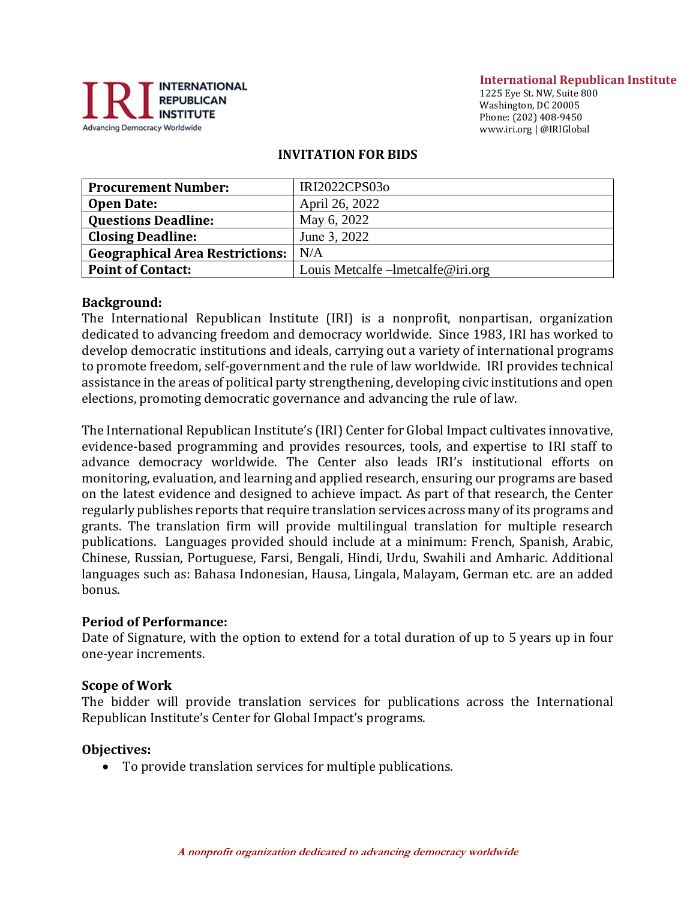

#### **International Republican Institute**

1225 Eye St. NW, Suite 800 Washington, DC 20005 Phone: (202) 408-9450 www.iri.org | @IRIGlobal

### **INVITATION FOR BIDS**

| <b>Procurement Number:</b>             | IRI2022CPS03o                     |
|----------------------------------------|-----------------------------------|
| <b>Open Date:</b>                      | April 26, 2022                    |
| <b>Questions Deadline:</b>             | May 6, 2022                       |
| <b>Closing Deadline:</b>               | June 3, 2022                      |
| <b>Geographical Area Restrictions:</b> | N/A                               |
| <b>Point of Contact:</b>               | Louis Metcalfe -lmetcalfe@iri.org |

### **Background:**

The International Republican Institute (IRI) is a nonprofit, nonpartisan, organization dedicated to advancing freedom and democracy worldwide. Since 1983, IRI has worked to develop democratic institutions and ideals, carrying out a variety of international programs to promote freedom, self-government and the rule of law worldwide. IRI provides technical assistance in the areas of political party strengthening, developing civic institutions and open elections, promoting democratic governance and advancing the rule of law.

The International Republican Institute's (IRI) Center for Global Impact cultivates innovative, evidence-based programming and provides resources, tools, and expertise to IRI staff to advance democracy worldwide. The Center also leads IRI's institutional efforts on monitoring, evaluation, and learning and applied research, ensuring our programs are based on the latest evidence and designed to achieve impact. As part of that research, the Center regularly publishes reports that require translation services across many of its programs and grants. The translation firm will provide multilingual translation for multiple research publications. Languages provided should include at a minimum: French, Spanish, Arabic, Chinese, Russian, Portuguese, Farsi, Bengali, Hindi, Urdu, Swahili and Amharic. Additional languages such as: Bahasa Indonesian, Hausa, Lingala, Malayam, German etc. are an added bonus.

#### **Period of Performance:**

Date of Signature, with the option to extend for a total duration of up to 5 years up in four one-year increments.

### **Scope of Work**

The bidder will provide translation services for publications across the International Republican Institute's Center for Global Impact's programs.

#### **Objectives:**

• To provide translation services for multiple publications.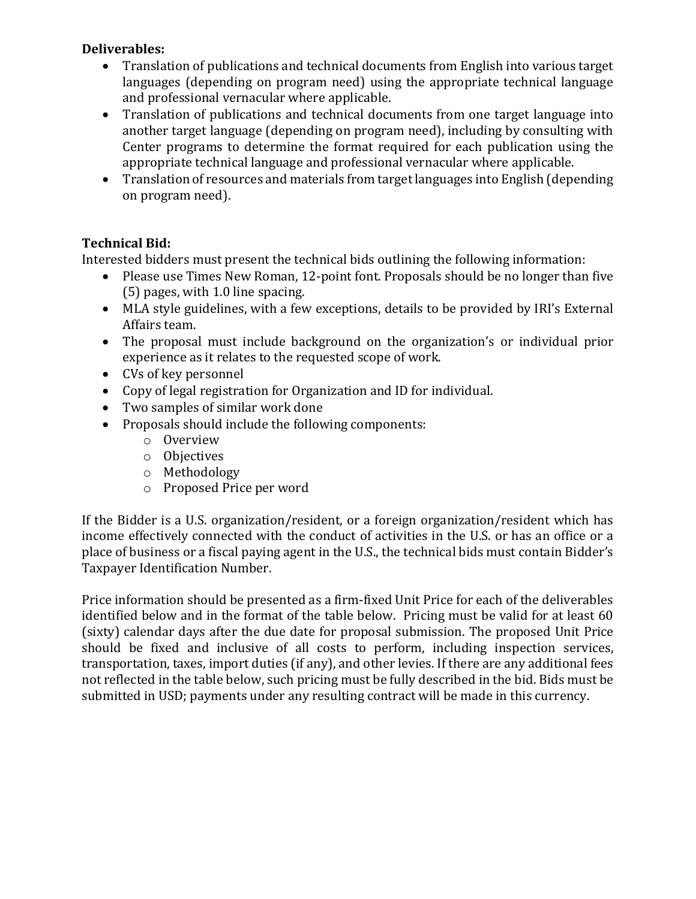# **Deliverables:**

- Translation of publications and technical documents from English into various target languages (depending on program need) using the appropriate technical language and professional vernacular where applicable.
- Translation of publications and technical documents from one target language into another target language (depending on program need), including by consulting with Center programs to determine the format required for each publication using the appropriate technical language and professional vernacular where applicable.
- Translation of resources and materials from target languages into English (depending on program need).

# **Technical Bid:**

Interested bidders must present the technical bids outlining the following information:

- Please use Times New Roman, 12-point font. Proposals should be no longer than five (5) pages, with 1.0 line spacing.
- MLA style guidelines, with a few exceptions, details to be provided by IRI's External Affairs team.
- The proposal must include background on the organization's or individual prior experience as it relates to the requested scope of work.
- CVs of key personnel
- Copy of legal registration for Organization and ID for individual.
- Two samples of similar work done
- Proposals should include the following components:
	- o Overview
	- o Objectives
	- o Methodology
	- o Proposed Price per word

If the Bidder is a U.S. organization/resident, or a foreign organization/resident which has income effectively connected with the conduct of activities in the U.S. or has an office or a place of business or a fiscal paying agent in the U.S., the technical bids must contain Bidder's Taxpayer Identification Number.

Price information should be presented as a firm-fixed Unit Price for each of the deliverables identified below and in the format of the table below. Pricing must be valid for at least 60 (sixty) calendar days after the due date for proposal submission. The proposed Unit Price should be fixed and inclusive of all costs to perform, including inspection services, transportation, taxes, import duties (if any), and other levies. If there are any additional fees not reflected in the table below, such pricing must be fully described in the bid. Bids must be submitted in USD; payments under any resulting contract will be made in this currency.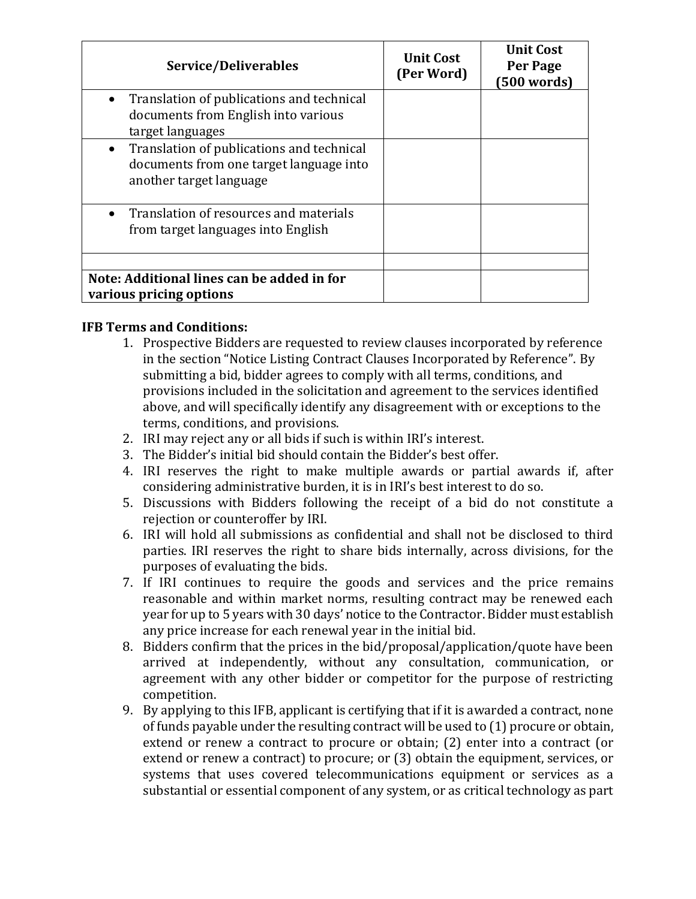| Service/Deliverables                                                                                                         | Unit Cost<br>(Per Word) | <b>Unit Cost</b><br>Per Page<br>(500 words) |
|------------------------------------------------------------------------------------------------------------------------------|-------------------------|---------------------------------------------|
| Translation of publications and technical<br>$\bullet$<br>documents from English into various<br>target languages            |                         |                                             |
| Translation of publications and technical<br>$\bullet$<br>documents from one target language into<br>another target language |                         |                                             |
| Translation of resources and materials<br>$\bullet$<br>from target languages into English                                    |                         |                                             |
|                                                                                                                              |                         |                                             |
| Note: Additional lines can be added in for<br>various pricing options                                                        |                         |                                             |

# **IFB Terms and Conditions:**

- 1. Prospective Bidders are requested to review clauses incorporated by reference in the section "Notice Listing Contract Clauses Incorporated by Reference". By submitting a bid, bidder agrees to comply with all terms, conditions, and provisions included in the solicitation and agreement to the services identified above, and will specifically identify any disagreement with or exceptions to the terms, conditions, and provisions.
- 2. IRI may reject any or all bids if such is within IRI's interest.
- 3. The Bidder's initial bid should contain the Bidder's best offer.
- 4. IRI reserves the right to make multiple awards or partial awards if, after considering administrative burden, it is in IRI's best interest to do so.
- 5. Discussions with Bidders following the receipt of a bid do not constitute a rejection or counteroffer by IRI.
- 6. IRI will hold all submissions as confidential and shall not be disclosed to third parties. IRI reserves the right to share bids internally, across divisions, for the purposes of evaluating the bids.
- 7. If IRI continues to require the goods and services and the price remains reasonable and within market norms, resulting contract may be renewed each year for up to 5 years with 30 days' notice to the Contractor. Bidder must establish any price increase for each renewal year in the initial bid.
- 8. Bidders confirm that the prices in the bid/proposal/application/quote have been arrived at independently, without any consultation, communication, or agreement with any other bidder or competitor for the purpose of restricting competition.
- 9. By applying to this IFB, applicant is certifying that if it is awarded a contract, none of funds payable under the resulting contract will be used to (1) procure or obtain, extend or renew a contract to procure or obtain; (2) enter into a contract (or extend or renew a contract) to procure; or (3) obtain the equipment, services, or systems that uses covered telecommunications equipment or services as a substantial or essential component of any system, or as critical technology as part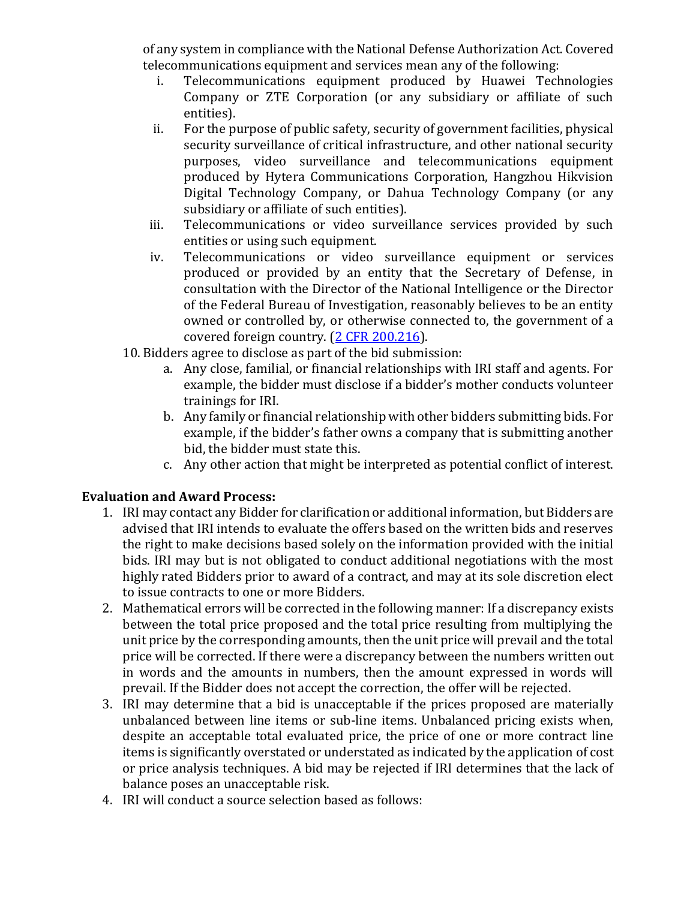of any system in compliance with the National Defense Authorization Act. Covered telecommunications equipment and services mean any of the following:

- i. Telecommunications equipment produced by Huawei Technologies Company or ZTE Corporation (or any subsidiary or affiliate of such entities).
- ii. For the purpose of public safety, security of government facilities, physical security surveillance of critical infrastructure, and other national security purposes, video surveillance and telecommunications equipment produced by Hytera Communications Corporation, Hangzhou Hikvision Digital Technology Company, or Dahua Technology Company (or any subsidiary or affiliate of such entities).
- iii. Telecommunications or video surveillance services provided by such entities or using such equipment.
- iv. Telecommunications or video surveillance equipment or services produced or provided by an entity that the Secretary of Defense, in consultation with the Director of the National Intelligence or the Director of the Federal Bureau of Investigation, reasonably believes to be an entity owned or controlled by, or otherwise connected to, the government of a covered foreign country. [\(2 CFR 200.216\)](https://www.ecfr.gov/cgi-bin/text-idx?SID=be339d70a8db644c507eb86e8d0a20f4&mc=true&node=se2.1.200_1216&rgn=div8).
- 10. Bidders agree to disclose as part of the bid submission:
	- a. Any close, familial, or financial relationships with IRI staff and agents. For example, the bidder must disclose if a bidder's mother conducts volunteer trainings for IRI.
	- b. Any family or financial relationship with other bidders submitting bids. For example, if the bidder's father owns a company that is submitting another bid, the bidder must state this.
	- c. Any other action that might be interpreted as potential conflict of interest.

## **Evaluation and Award Process:**

- 1. IRI may contact any Bidder for clarification or additional information, but Bidders are advised that IRI intends to evaluate the offers based on the written bids and reserves the right to make decisions based solely on the information provided with the initial bids. IRI may but is not obligated to conduct additional negotiations with the most highly rated Bidders prior to award of a contract, and may at its sole discretion elect to issue contracts to one or more Bidders.
- 2. Mathematical errors will be corrected in the following manner: If a discrepancy exists between the total price proposed and the total price resulting from multiplying the unit price by the corresponding amounts, then the unit price will prevail and the total price will be corrected. If there were a discrepancy between the numbers written out in words and the amounts in numbers, then the amount expressed in words will prevail. If the Bidder does not accept the correction, the offer will be rejected.
- 3. IRI may determine that a bid is unacceptable if the prices proposed are materially unbalanced between line items or sub-line items. Unbalanced pricing exists when, despite an acceptable total evaluated price, the price of one or more contract line items is significantly overstated or understated as indicated by the application of cost or price analysis techniques. A bid may be rejected if IRI determines that the lack of balance poses an unacceptable risk.
- 4. IRI will conduct a source selection based as follows: